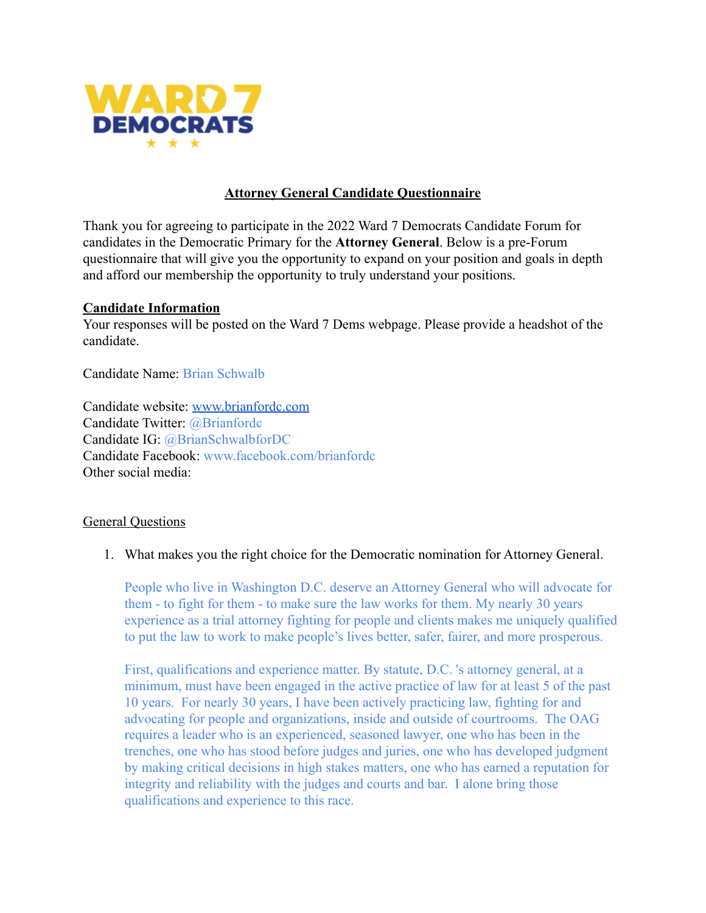

# **Attorney General Candidate Questionnaire**

Thank you for agreeing to participate in the 2022 Ward 7 Democrats Candidate Forum for candidates in the Democratic Primary for the **Attorney General**. Below is a pre-Forum questionnaire that will give you the opportunity to expand on your position and goals in depth and afford our membership the opportunity to truly understand your positions.

## **Candidate Information**

Your responses will be posted on the Ward 7 Dems webpage. Please provide a headshot of the candidate.

Candidate Name: Brian Schwalb

Candidate website: [www.brianfordc.com](http://www.brianfordc.com) Candidate Twitter: @Brianfordc Candidate IG: @BrianSchwalbforDC Candidate Facebook: www.facebook.com/brianfordc Other social media:

## General Questions

1. What makes you the right choice for the Democratic nomination for Attorney General.

People who live in Washington D.C. deserve an Attorney General who will advocate for them - to fight for them - to make sure the law works for them. My nearly 30 years experience as a trial attorney fighting for people and clients makes me uniquely qualified to put the law to work to make people's lives better, safer, fairer, and more prosperous.

First, qualifications and experience matter. By statute, D.C. 's attorney general, at a minimum, must have been engaged in the active practice of law for at least 5 of the past 10 years. For nearly 30 years, I have been actively practicing law, fighting for and advocating for people and organizations, inside and outside of courtrooms. The OAG requires a leader who is an experienced, seasoned lawyer, one who has been in the trenches, one who has stood before judges and juries, one who has developed judgment by making critical decisions in high stakes matters, one who has earned a reputation for integrity and reliability with the judges and courts and bar. I alone bring those qualifications and experience to this race.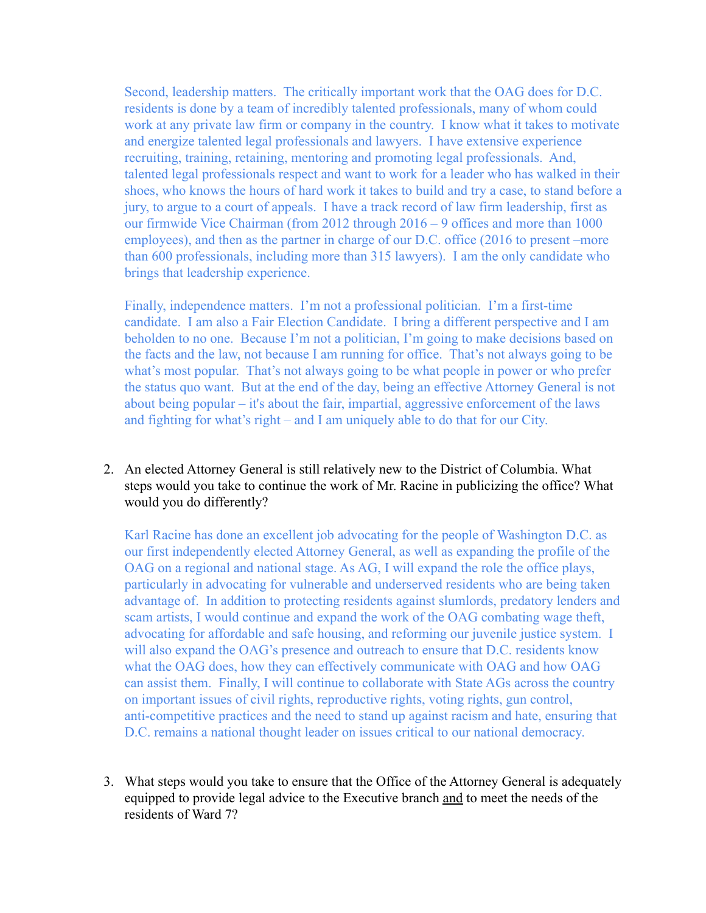Second, leadership matters. The critically important work that the OAG does for D.C. residents is done by a team of incredibly talented professionals, many of whom could work at any private law firm or company in the country. I know what it takes to motivate and energize talented legal professionals and lawyers. I have extensive experience recruiting, training, retaining, mentoring and promoting legal professionals. And, talented legal professionals respect and want to work for a leader who has walked in their shoes, who knows the hours of hard work it takes to build and try a case, to stand before a jury, to argue to a court of appeals. I have a track record of law firm leadership, first as our firmwide Vice Chairman (from 2012 through 2016 – 9 offices and more than 1000 employees), and then as the partner in charge of our D.C. office (2016 to present –more than 600 professionals, including more than 315 lawyers). I am the only candidate who brings that leadership experience.

Finally, independence matters. I'm not a professional politician. I'm a first-time candidate. I am also a Fair Election Candidate. I bring a different perspective and I am beholden to no one. Because I'm not a politician, I'm going to make decisions based on the facts and the law, not because I am running for office. That's not always going to be what's most popular. That's not always going to be what people in power or who prefer the status quo want. But at the end of the day, being an effective Attorney General is not about being popular – it's about the fair, impartial, aggressive enforcement of the laws and fighting for what's right – and I am uniquely able to do that for our City.

2. An elected Attorney General is still relatively new to the District of Columbia. What steps would you take to continue the work of Mr. Racine in publicizing the office? What would you do differently?

Karl Racine has done an excellent job advocating for the people of Washington D.C. as our first independently elected Attorney General, as well as expanding the profile of the OAG on a regional and national stage. As AG, I will expand the role the office plays, particularly in advocating for vulnerable and underserved residents who are being taken advantage of. In addition to protecting residents against slumlords, predatory lenders and scam artists, I would continue and expand the work of the OAG combating wage theft, advocating for affordable and safe housing, and reforming our juvenile justice system. I will also expand the OAG's presence and outreach to ensure that D.C. residents know what the OAG does, how they can effectively communicate with OAG and how OAG can assist them. Finally, I will continue to collaborate with State AGs across the country on important issues of civil rights, reproductive rights, voting rights, gun control, anti-competitive practices and the need to stand up against racism and hate, ensuring that D.C. remains a national thought leader on issues critical to our national democracy.

3. What steps would you take to ensure that the Office of the Attorney General is adequately equipped to provide legal advice to the Executive branch and to meet the needs of the residents of Ward 7?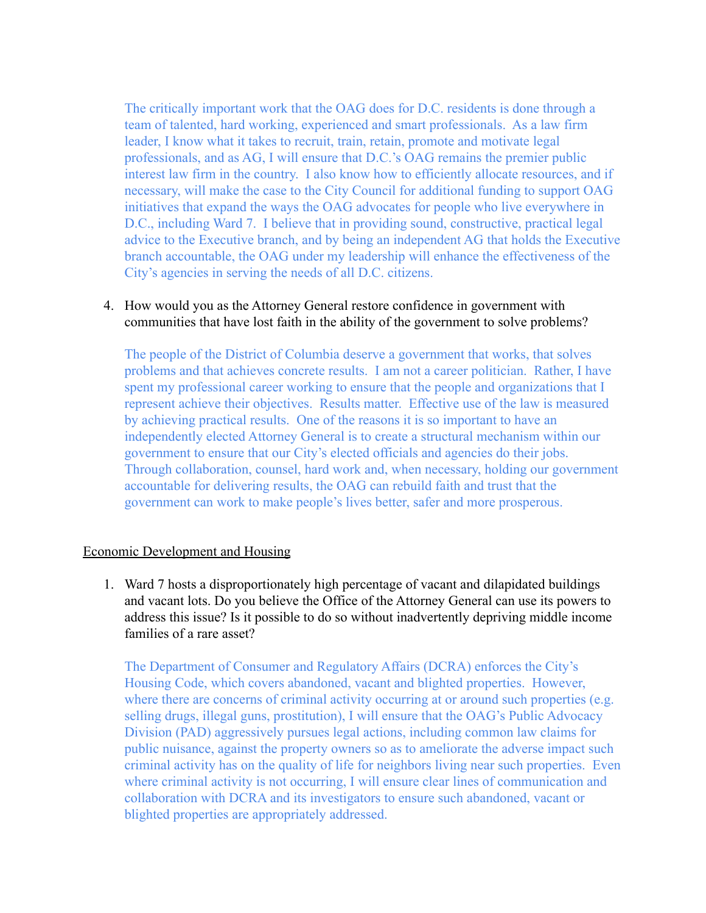The critically important work that the OAG does for D.C. residents is done through a team of talented, hard working, experienced and smart professionals. As a law firm leader, I know what it takes to recruit, train, retain, promote and motivate legal professionals, and as AG, I will ensure that D.C.'s OAG remains the premier public interest law firm in the country. I also know how to efficiently allocate resources, and if necessary, will make the case to the City Council for additional funding to support OAG initiatives that expand the ways the OAG advocates for people who live everywhere in D.C., including Ward 7. I believe that in providing sound, constructive, practical legal advice to the Executive branch, and by being an independent AG that holds the Executive branch accountable, the OAG under my leadership will enhance the effectiveness of the City's agencies in serving the needs of all D.C. citizens.

## 4. How would you as the Attorney General restore confidence in government with communities that have lost faith in the ability of the government to solve problems?

The people of the District of Columbia deserve a government that works, that solves problems and that achieves concrete results. I am not a career politician. Rather, I have spent my professional career working to ensure that the people and organizations that I represent achieve their objectives. Results matter. Effective use of the law is measured by achieving practical results. One of the reasons it is so important to have an independently elected Attorney General is to create a structural mechanism within our government to ensure that our City's elected officials and agencies do their jobs. Through collaboration, counsel, hard work and, when necessary, holding our government accountable for delivering results, the OAG can rebuild faith and trust that the government can work to make people's lives better, safer and more prosperous.

### Economic Development and Housing

1. Ward 7 hosts a disproportionately high percentage of vacant and dilapidated buildings and vacant lots. Do you believe the Office of the Attorney General can use its powers to address this issue? Is it possible to do so without inadvertently depriving middle income families of a rare asset?

The Department of Consumer and Regulatory Affairs (DCRA) enforces the City's Housing Code, which covers abandoned, vacant and blighted properties. However, where there are concerns of criminal activity occurring at or around such properties (e.g. selling drugs, illegal guns, prostitution), I will ensure that the OAG's Public Advocacy Division (PAD) aggressively pursues legal actions, including common law claims for public nuisance, against the property owners so as to ameliorate the adverse impact such criminal activity has on the quality of life for neighbors living near such properties. Even where criminal activity is not occurring, I will ensure clear lines of communication and collaboration with DCRA and its investigators to ensure such abandoned, vacant or blighted properties are appropriately addressed.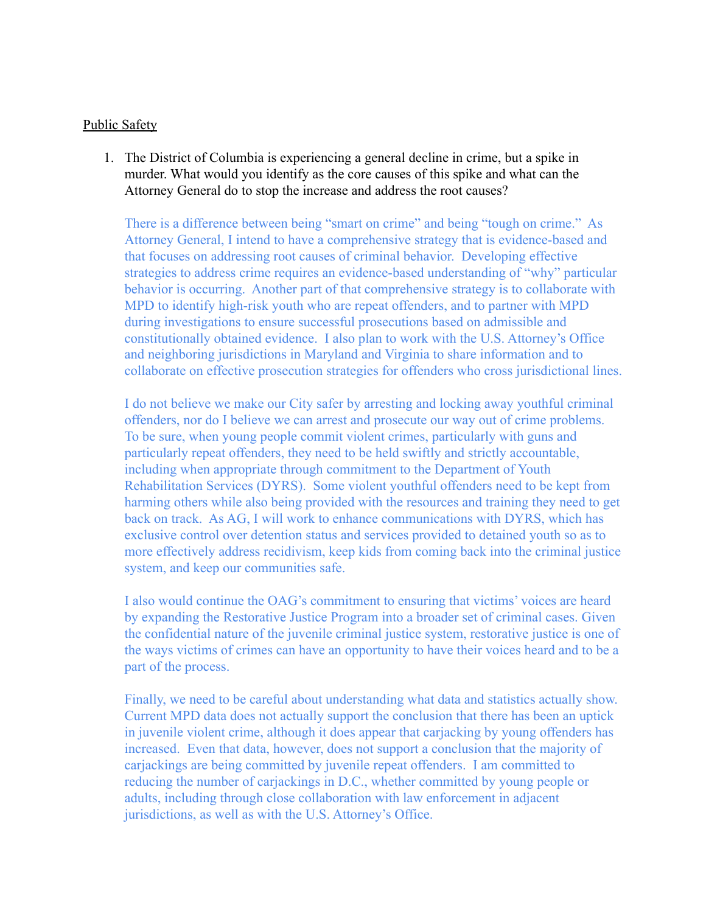### Public Safety

1. The District of Columbia is experiencing a general decline in crime, but a spike in murder. What would you identify as the core causes of this spike and what can the Attorney General do to stop the increase and address the root causes?

There is a difference between being "smart on crime" and being "tough on crime." As Attorney General, I intend to have a comprehensive strategy that is evidence-based and that focuses on addressing root causes of criminal behavior. Developing effective strategies to address crime requires an evidence-based understanding of "why" particular behavior is occurring. Another part of that comprehensive strategy is to collaborate with MPD to identify high-risk youth who are repeat offenders, and to partner with MPD during investigations to ensure successful prosecutions based on admissible and constitutionally obtained evidence. I also plan to work with the U.S. Attorney's Office and neighboring jurisdictions in Maryland and Virginia to share information and to collaborate on effective prosecution strategies for offenders who cross jurisdictional lines.

I do not believe we make our City safer by arresting and locking away youthful criminal offenders, nor do I believe we can arrest and prosecute our way out of crime problems. To be sure, when young people commit violent crimes, particularly with guns and particularly repeat offenders, they need to be held swiftly and strictly accountable, including when appropriate through commitment to the Department of Youth Rehabilitation Services (DYRS). Some violent youthful offenders need to be kept from harming others while also being provided with the resources and training they need to get back on track. As AG, I will work to enhance communications with DYRS, which has exclusive control over detention status and services provided to detained youth so as to more effectively address recidivism, keep kids from coming back into the criminal justice system, and keep our communities safe.

I also would continue the OAG's commitment to ensuring that victims' voices are heard by expanding the Restorative Justice Program into a broader set of criminal cases. Given the confidential nature of the juvenile criminal justice system, restorative justice is one of the ways victims of crimes can have an opportunity to have their voices heard and to be a part of the process.

Finally, we need to be careful about understanding what data and statistics actually show. Current MPD data does not actually support the conclusion that there has been an uptick in juvenile violent crime, although it does appear that carjacking by young offenders has increased. Even that data, however, does not support a conclusion that the majority of carjackings are being committed by juvenile repeat offenders. I am committed to reducing the number of carjackings in D.C., whether committed by young people or adults, including through close collaboration with law enforcement in adjacent jurisdictions, as well as with the U.S. Attorney's Office.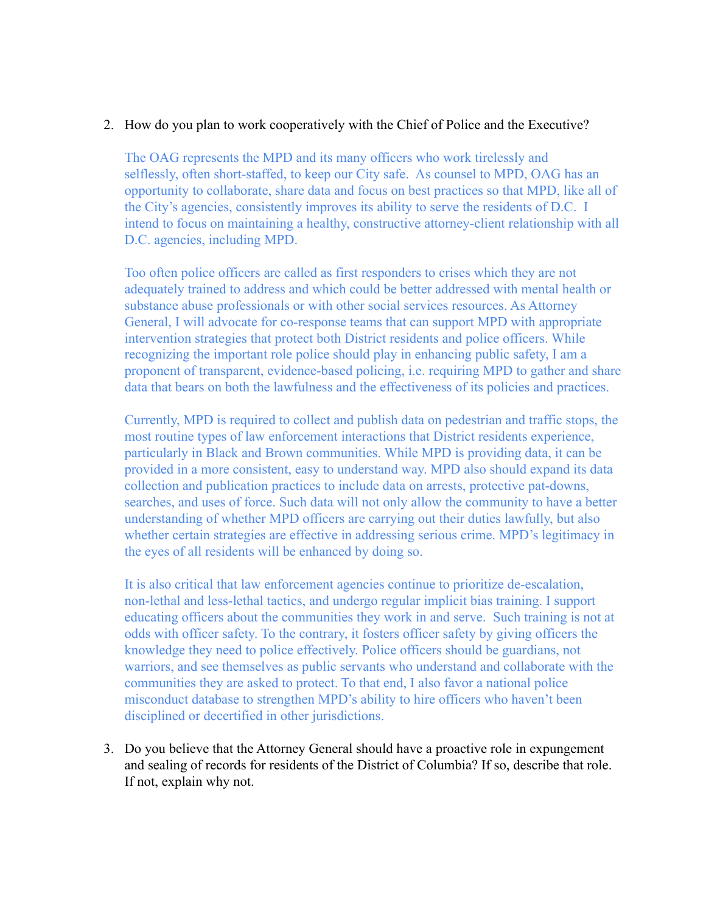## 2. How do you plan to work cooperatively with the Chief of Police and the Executive?

The OAG represents the MPD and its many officers who work tirelessly and selflessly, often short-staffed, to keep our City safe. As counsel to MPD, OAG has an opportunity to collaborate, share data and focus on best practices so that MPD, like all of the City's agencies, consistently improves its ability to serve the residents of D.C. I intend to focus on maintaining a healthy, constructive attorney-client relationship with all D.C. agencies, including MPD.

Too often police officers are called as first responders to crises which they are not adequately trained to address and which could be better addressed with mental health or substance abuse professionals or with other social services resources. As Attorney General, I will advocate for co-response teams that can support MPD with appropriate intervention strategies that protect both District residents and police officers. While recognizing the important role police should play in enhancing public safety, I am a proponent of transparent, evidence-based policing, i.e. requiring MPD to gather and share data that bears on both the lawfulness and the effectiveness of its policies and practices.

Currently, MPD is required to collect and publish data on pedestrian and traffic stops, the most routine types of law enforcement interactions that District residents experience, particularly in Black and Brown communities. While MPD is providing data, it can be provided in a more consistent, easy to understand way. MPD also should expand its data collection and publication practices to include data on arrests, protective pat-downs, searches, and uses of force. Such data will not only allow the community to have a better understanding of whether MPD officers are carrying out their duties lawfully, but also whether certain strategies are effective in addressing serious crime. MPD's legitimacy in the eyes of all residents will be enhanced by doing so.

It is also critical that law enforcement agencies continue to prioritize de-escalation, non-lethal and less-lethal tactics, and undergo regular implicit bias training. I support educating officers about the communities they work in and serve. Such training is not at odds with officer safety. To the contrary, it fosters officer safety by giving officers the knowledge they need to police effectively. Police officers should be guardians, not warriors, and see themselves as public servants who understand and collaborate with the communities they are asked to protect. To that end, I also favor a national police misconduct database to strengthen MPD's ability to hire officers who haven't been disciplined or decertified in other jurisdictions.

3. Do you believe that the Attorney General should have a proactive role in expungement and sealing of records for residents of the District of Columbia? If so, describe that role. If not, explain why not.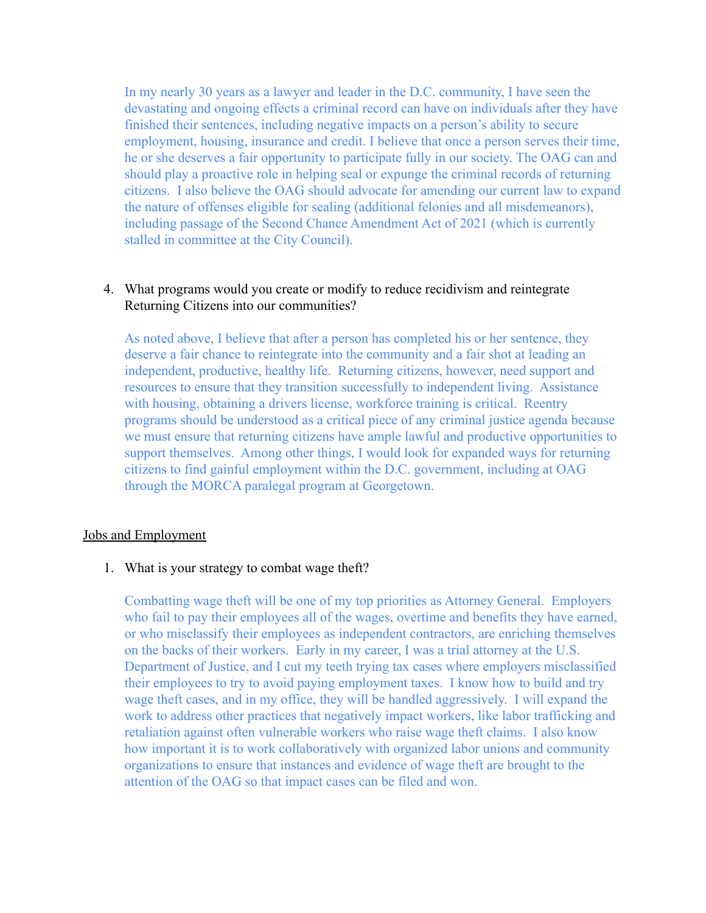In my nearly 30 years as a lawyer and leader in the D.C. community, I have seen the devastating and ongoing effects a criminal record can have on individuals after they have finished their sentences, including negative impacts on a person's ability to secure employment, housing, insurance and credit. I believe that once a person serves their time, he or she deserves a fair opportunity to participate fully in our society. The OAG can and should play a proactive role in helping seal or expunge the criminal records of returning citizens. I also believe the OAG should advocate for amending our current law to expand the nature of offenses eligible for sealing (additional felonies and all misdemeanors), including passage of the Second Chance Amendment Act of 2021 (which is currently stalled in committee at the City Council).

# 4. What programs would you create or modify to reduce recidivism and reintegrate Returning Citizens into our communities?

As noted above, I believe that after a person has completed his or her sentence, they deserve a fair chance to reintegrate into the community and a fair shot at leading an independent, productive, healthy life. Returning citizens, however, need support and resources to ensure that they transition successfully to independent living. Assistance with housing, obtaining a drivers license, workforce training is critical. Reentry programs should be understood as a critical piece of any criminal justice agenda because we must ensure that returning citizens have ample lawful and productive opportunities to support themselves. Among other things, I would look for expanded ways for returning citizens to find gainful employment within the D.C. government, including at OAG through the MORCA paralegal program at Georgetown.

### Jobs and Employment

1. What is your strategy to combat wage theft?

Combatting wage theft will be one of my top priorities as Attorney General. Employers who fail to pay their employees all of the wages, overtime and benefits they have earned, or who misclassify their employees as independent contractors, are enriching themselves on the backs of their workers. Early in my career, I was a trial attorney at the U.S. Department of Justice, and I cut my teeth trying tax cases where employers misclassified their employees to try to avoid paying employment taxes. I know how to build and try wage theft cases, and in my office, they will be handled aggressively. I will expand the work to address other practices that negatively impact workers, like labor trafficking and retaliation against often vulnerable workers who raise wage theft claims. I also know how important it is to work collaboratively with organized labor unions and community organizations to ensure that instances and evidence of wage theft are brought to the attention of the OAG so that impact cases can be filed and won.